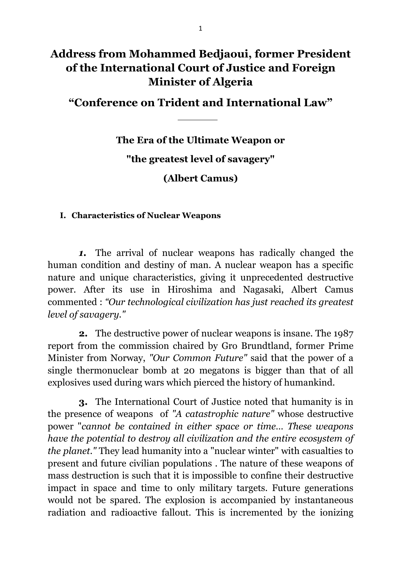# **Address from Mohammed Bedjaoui, former President of the International Court of Justice and Foreign Minister of Algeria**

**"Conference on Trident and International Law"**

**The Era of the Ultimate Weapon or "the greatest level of savagery" (Albert Camus)** 

#### **I. Characteristics of Nuclear Weapons**

 *1.* The arrival of nuclear weapons has radically changed the human condition and destiny of man. A nuclear weapon has a specific nature and unique characteristics, giving it unprecedented destructive power. After its use in Hiroshima and Nagasaki, Albert Camus commented : *"Our technological civilization has just reached its greatest level of savagery."* 

 **2.** The destructive power of nuclear weapons is insane. The 1987 report from the commission chaired by Gro Brundtland, former Prime Minister from Norway, *"Our Common Future"* said that the power of a single thermonuclear bomb at 20 megatons is bigger than that of all explosives used during wars which pierced the history of humankind.

 **3.** The International Court of Justice noted that humanity is in the presence of weapons of *"A catastrophic nature"* whose destructive power "*cannot be contained in either space or time… These weapons have the potential to destroy all civilization and the entire ecosystem of the planet."* They lead humanity into a "nuclear winter" with casualties to present and future civilian populations . The nature of these weapons of mass destruction is such that it is impossible to confine their destructive impact in space and time to only military targets. Future generations would not be spared. The explosion is accompanied by instantaneous radiation and radioactive fallout. This is incremented by the ionizing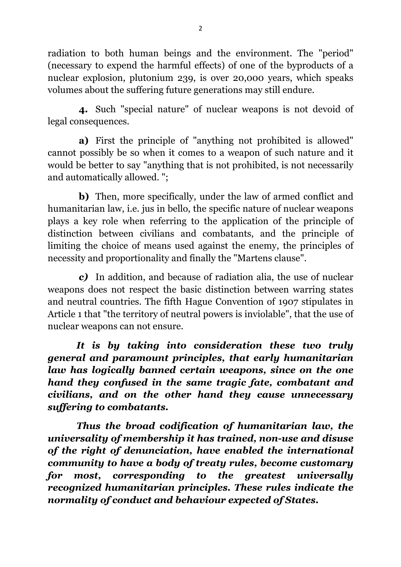radiation to both human beings and the environment. The "period" (necessary to expend the harmful effects) of one of the byproducts of a nuclear explosion, plutonium 239, is over 20,000 years, which speaks volumes about the suffering future generations may still endure.

 **4.** Such "special nature" of nuclear weapons is not devoid of legal consequences.

 **a)** First the principle of "anything not prohibited is allowed" cannot possibly be so when it comes to a weapon of such nature and it would be better to say "anything that is not prohibited, is not necessarily and automatically allowed. ";

 **b)** Then, more specifically, under the law of armed conflict and humanitarian law, i.e. jus in bello, the specific nature of nuclear weapons plays a key role when referring to the application of the principle of distinction between civilians and combatants, and the principle of limiting the choice of means used against the enemy, the principles of necessity and proportionality and finally the "Martens clause".

 *c)* In addition, and because of radiation alia, the use of nuclear weapons does not respect the basic distinction between warring states and neutral countries. The fifth Hague Convention of 1907 stipulates in Article 1 that "the territory of neutral powers is inviolable", that the use of nuclear weapons can not ensure.

*It is by taking into consideration these two truly general and paramount principles, that early humanitarian law has logically banned certain weapons, since on the one hand they confused in the same tragic fate, combatant and civilians, and on the other hand they cause unnecessary suffering to combatants.* 

*Thus the broad codification of humanitarian law, the universality of membership it has trained, non-use and disuse of the right of denunciation, have enabled the international community to have a body of treaty rules, become customary for most, corresponding to the greatest universally recognized humanitarian principles. These rules indicate the normality of conduct and behaviour expected of States.*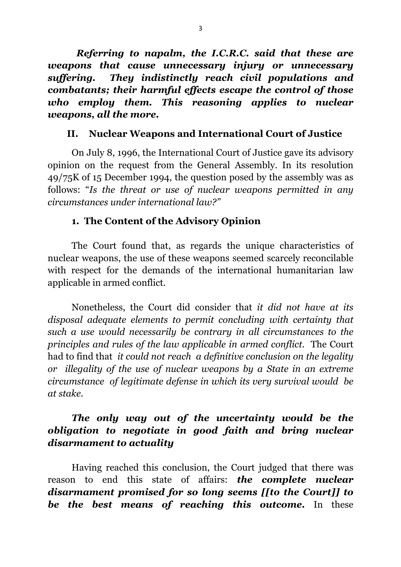*Referring to napalm, the I.C.R.C. said that these are weapons that cause unnecessary injury or unnecessary suffering. They indistinctly reach civil populations and combatants; their harmful effects escape the control of those who employ them. This reasoning applies to nuclear weapons, all the more.* 

#### **II. Nuclear Weapons and International Court of Justice**

 On July 8, 1996, the International Court of Justice gave its advisory opinion on the request from the General Assembly. In its resolution 49/75K of 15 December 1994, the question posed by the assembly was as follows: "*Is the threat or use of nuclear weapons permitted in any circumstances under international law?"*

#### **1. The Content of the Advisory Opinion**

 The Court found that, as regards the unique characteristics of nuclear weapons, the use of these weapons seemed scarcely reconcilable with respect for the demands of the international humanitarian law applicable in armed conflict.

 Nonetheless, the Court did consider that *it did not have at its disposal adequate elements to permit concluding with certainty that such a use would necessarily be contrary in all circumstances to the principles and rules of the law applicable in armed conflict.* The Court had to find that *it could not reach a definitive conclusion on the legality or illegality of the use of nuclear weapons by a State in an extreme circumstance of legitimate defense in which its very survival would be at stake.* 

### *The only way out of the uncertainty would be the obligation to negotiate in good faith and bring nuclear disarmament to actuality*

 Having reached this conclusion, the Court judged that there was reason to end this state of affairs: *the complete nuclear disarmament promised for so long seems [[to the Court]] to be the best means of reaching this outcome.* In these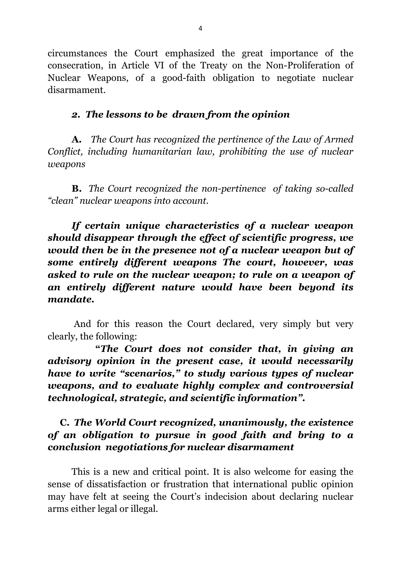circumstances the Court emphasized the great importance of the consecration, in Article VI of the Treaty on the Non-Proliferation of Nuclear Weapons, of a good-faith obligation to negotiate nuclear disarmament.

#### *2. The lessons to be drawn from the opinion*

**A.** *The Court has recognized the pertinence of the Law of Armed Conflict, including humanitarian law, prohibiting the use of nuclear weapons* 

**B.** *The Court recognized the non-pertinence of taking so-called "clean" nuclear weapons into account.* 

*If certain unique characteristics of a nuclear weapon should disappear through the effect of scientific progress, we would then be in the presence not of a nuclear weapon but of some entirely different weapons The court, however, was asked to rule on the nuclear weapon; to rule on a weapon of an entirely different nature would have been beyond its mandate.* 

 And for this reason the Court declared, very simply but very clearly, the following:

 **"***The Court does not consider that, in giving an advisory opinion in the present case, it would necessarily have to write "scenarios," to study various types of nuclear weapons, and to evaluate highly complex and controversial technological, strategic, and scientific information".* 

## **C.** *The World Court recognized, unanimously, the existence of an obligation to pursue in good faith and bring to a conclusion negotiations for nuclear disarmament*

 This is a new and critical point. It is also welcome for easing the sense of dissatisfaction or frustration that international public opinion may have felt at seeing the Court's indecision about declaring nuclear arms either legal or illegal.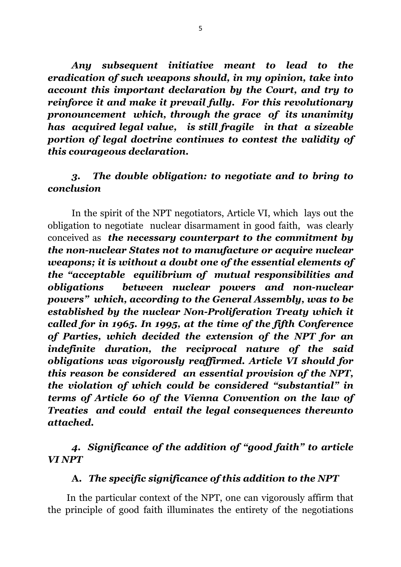*Any subsequent initiative meant to lead to the eradication of such weapons should, in my opinion, take into account this important declaration by the Court, and try to reinforce it and make it prevail fully. For this revolutionary pronouncement which, through the grace of its unanimity has acquired legal value, is still fragile in that a sizeable portion of legal doctrine continues to contest the validity of this courageous declaration.* 

### *3. The double obligation: to negotiate and to bring to conclusion*

 In the spirit of the NPT negotiators, Article VI, which lays out the obligation to negotiate nuclear disarmament in good faith, was clearly conceived as *the necessary counterpart to the commitment by the non-nuclear States not to manufacture or acquire nuclear weapons; it is without a doubt one of the essential elements of the "acceptable equilibrium of mutual responsibilities and obligations between nuclear powers and non-nuclear powers" which, according to the General Assembly, was to be established by the nuclear Non-Proliferation Treaty which it called for in 1965. In 1995, at the time of the fifth Conference of Parties, which decided the extension of the NPT for an indefinite duration, the reciprocal nature of the said obligations was vigorously reaffirmed. Article VI should for this reason be considered an essential provision of the NPT, the violation of which could be considered "substantial" in terms of Article 60 of the Vienna Convention on the law of Treaties and could entail the legal consequences thereunto attached.*

### *4. Significance of the addition of "good faith" to article VI NPT*

# **A.** *The specific significance of this addition to the NPT*

 In the particular context of the NPT, one can vigorously affirm that the principle of good faith illuminates the entirety of the negotiations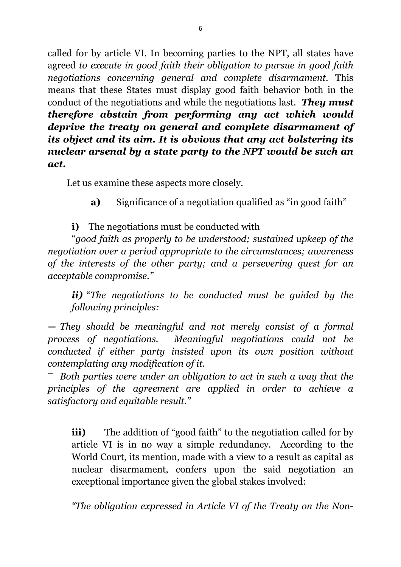called for by article VI. In becoming parties to the NPT, all states have agreed *to execute in good faith their obligation to pursue in good faith negotiations concerning general and complete disarmament.* This means that these States must display good faith behavior both in the conduct of the negotiations and while the negotiations last. *They must therefore abstain from performing any act which would deprive the treaty on general and complete disarmament of its object and its aim. It is obvious that any act bolstering its nuclear arsenal by a state party to the NPT would be such an act.* 

Let us examine these aspects more closely.

**a)** Significance of a negotiation qualified as "in good faith"

**i)** The negotiations must be conducted with

 "*good faith as properly to be understood; sustained upkeep of the negotiation over a period appropriate to the circumstances; awareness of the interests of the other party; and a persevering quest for an acceptable compromise."*

*ii)* "*The negotiations to be conducted must be guided by the following principles:* 

**―** *They should be meaningful and not merely consist of a formal process of negotiations. Meaningful negotiations could not be conducted if either party insisted upon its own position without contemplating any modification of it.* 

**―** *Both parties were under an obligation to act in such a way that the principles of the agreement are applied in order to achieve a satisfactory and equitable result."*

**iii)** The addition of "good faith" to the negotiation called for by article VI is in no way a simple redundancy. According to the World Court, its mention, made with a view to a result as capital as nuclear disarmament, confers upon the said negotiation an exceptional importance given the global stakes involved:

 *"The obligation expressed in Article VI of the Treaty on the Non-*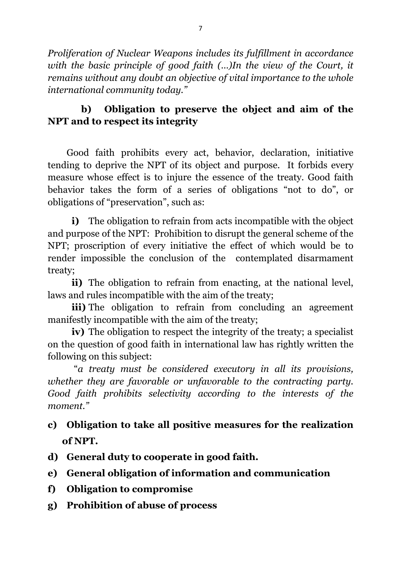*Proliferation of Nuclear Weapons includes its fulfillment in accordance*  with the basic principle of good faith (...)In the view of the Court, it *remains without any doubt an objective of vital importance to the whole international community today."* 

# **b) Obligation to preserve the object and aim of the NPT and to respect its integrity**

 Good faith prohibits every act, behavior, declaration, initiative tending to deprive the NPT of its object and purpose. It forbids every measure whose effect is to injure the essence of the treaty. Good faith behavior takes the form of a series of obligations "not to do", or obligations of "preservation", such as:

**i)** The obligation to refrain from acts incompatible with the object and purpose of the NPT: Prohibition to disrupt the general scheme of the NPT; proscription of every initiative the effect of which would be to render impossible the conclusion of the contemplated disarmament treaty;

**ii)** The obligation to refrain from enacting, at the national level, laws and rules incompatible with the aim of the treaty;

**iii)** The obligation to refrain from concluding an agreement manifestly incompatible with the aim of the treaty;

**iv)** The obligation to respect the integrity of the treaty; a specialist on the question of good faith in international law has rightly written the following on this subject:

 "*a treaty must be considered executory in all its provisions, whether they are favorable or unfavorable to the contracting party. Good faith prohibits selectivity according to the interests of the moment."*

- **c) Obligation to take all positive measures for the realization of NPT.**
- **d) General duty to cooperate in good faith.**
- **e) General obligation of information and communication**
- **f) Obligation to compromise**
- **g) Prohibition of abuse of process**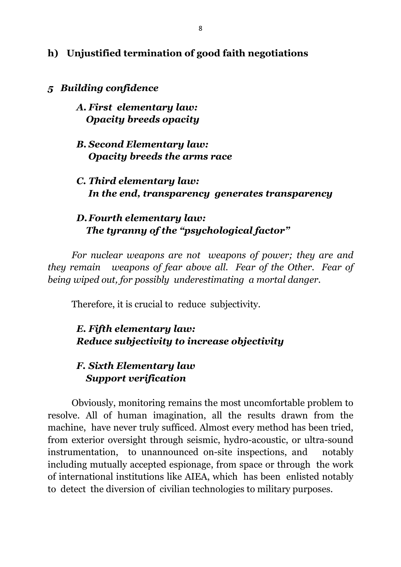#### **h) Unjustified termination of good faith negotiations**

#### *5 Building confidence*

#### *A. First elementary law: Opacity breeds opacity*

#### *B. Second Elementary law: Opacity breeds the arms race*

## *C. Third elementary law: In the end, transparency generates transparency*

# *D. Fourth elementary law: The tyranny of the "psychological factor"*

*For nuclear weapons are not weapons of power; they are and they remain weapons of fear above all. Fear of the Other. Fear of being wiped out, for possibly underestimating a mortal danger.* 

Therefore, it is crucial to reduce subjectivity.

### *E. Fifth elementary law: Reduce subjectivity to increase objectivity*

## *F. Sixth Elementary law Support verification*

 Obviously, monitoring remains the most uncomfortable problem to resolve. All of human imagination, all the results drawn from the machine, have never truly sufficed. Almost every method has been tried, from exterior oversight through seismic, hydro-acoustic, or ultra-sound instrumentation, to unannounced on-site inspections, and notably including mutually accepted espionage, from space or through the work of international institutions like AIEA, which has been enlisted notably to detect the diversion of civilian technologies to military purposes.